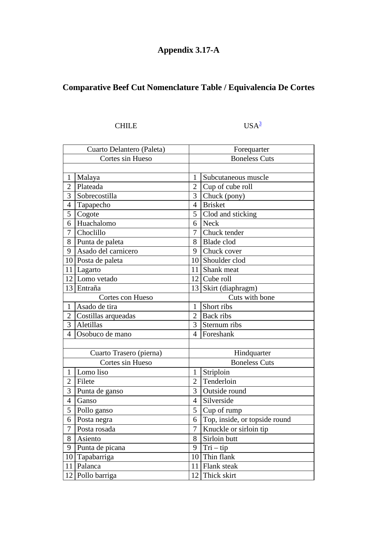## **Appendix 3.17-A**

## **Comparative Beef Cut Nomenclature Table / Equivalencia De Cortes**

## CHILE  $USA^3$

| Cuarto Delantero (Paleta) |                     | Forequarter          |                               |  |
|---------------------------|---------------------|----------------------|-------------------------------|--|
| Cortes sin Hueso          |                     |                      | <b>Boneless Cuts</b>          |  |
|                           |                     |                      |                               |  |
| $\mathbf{1}$              | Malaya              | 1                    | Subcutaneous muscle           |  |
| $\overline{2}$            | Plateada            | $\overline{2}$       | Cup of cube roll              |  |
| 3                         | Sobrecostilla       | 3                    | Chuck (pony)                  |  |
| 4                         | Tapapecho           | $\overline{4}$       | <b>Brisket</b>                |  |
| 5                         | Cogote              | 5                    | Clod and sticking             |  |
| 6                         | Huachalomo          | 6                    | <b>Neck</b>                   |  |
| 7                         | Choclillo           | $\overline{7}$       | Chuck tender                  |  |
| 8                         | Punta de paleta     | 8                    | <b>Blade</b> clod             |  |
| 9                         | Asado del carnicero | 9                    | Chuck cover                   |  |
| 10                        | Posta de paleta     | 10                   | Shoulder clod                 |  |
| 11                        | Lagarto             | 11                   | Shank meat                    |  |
| 12                        | Lomo vetado         | 12                   | Cube roll                     |  |
|                           | 13 Entraña          | 13                   | Skirt (diaphragm)             |  |
| Cortes con Hueso          |                     | Cuts with bone       |                               |  |
| $\mathbf{1}$              | Asado de tira       | 1                    | Short ribs                    |  |
| $\overline{2}$            | Costillas arqueadas | $\overline{2}$       | <b>Back</b> ribs              |  |
| 3                         | Aletillas           | 3                    | Sternum ribs                  |  |
| $\overline{4}$            | Osobuco de mano     | $\overline{4}$       | Foreshank                     |  |
|                           |                     |                      |                               |  |
| Cuarto Trasero (pierna)   |                     | Hindquarter          |                               |  |
| Cortes sin Hueso          |                     | <b>Boneless Cuts</b> |                               |  |
| $\mathbf{1}$              | Lomo liso           | $\mathbf{1}$         | Striploin                     |  |
| $\overline{2}$            | Filete              | $\overline{2}$       | Tenderloin                    |  |
| 3                         | Punta de ganso      | 3                    | Outside round                 |  |
| 4                         | Ganso               | $\overline{4}$       | Silverside                    |  |
| 5                         | Pollo ganso         | 5                    | Cup of rump                   |  |
| 6                         | Posta negra         | 6                    | Top, inside, or topside round |  |
| $\overline{7}$            | Posta rosada        | $\overline{7}$       | Knuckle or sirloin tip        |  |
| 8                         | Asiento             | 8                    | Sirloin butt                  |  |
| 9                         | Punta de picana     | 9                    | $Tri - tip$                   |  |
| 10                        | Tapabarriga         | 10                   | Thin flank                    |  |
| 11                        | Palanca             | 11                   | Flank steak                   |  |
| 12                        | Pollo barriga       | 12                   | Thick skirt                   |  |